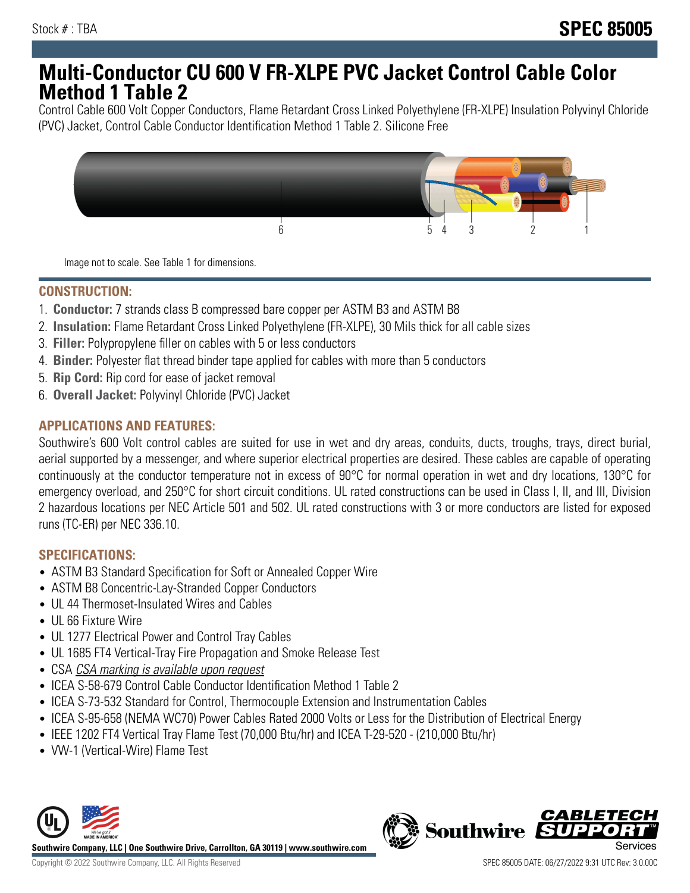## **Multi-Conductor CU 600 V FR-XLPE PVC Jacket Control Cable Color Method 1 Table 2**

Control Cable 600 Volt Copper Conductors, Flame Retardant Cross Linked Polyethylene (FR-XLPE) Insulation Polyvinyl Chloride (PVC) Jacket, Control Cable Conductor Identification Method 1 Table 2. Silicone Free



Image not to scale. See Table 1 for dimensions.

## **CONSTRUCTION:**

- 1. **Conductor:** 7 strands class B compressed bare copper per ASTM B3 and ASTM B8
- 2. **Insulation:** Flame Retardant Cross Linked Polyethylene (FR-XLPE), 30 Mils thick for all cable sizes
- 3. **Filler:** Polypropylene filler on cables with 5 or less conductors
- 4. **Binder:** Polyester flat thread binder tape applied for cables with more than 5 conductors
- 5. **Rip Cord:** Rip cord for ease of jacket removal
- 6. **Overall Jacket:** Polyvinyl Chloride (PVC) Jacket

#### **APPLICATIONS AND FEATURES:**

Southwire's 600 Volt control cables are suited for use in wet and dry areas, conduits, ducts, troughs, trays, direct burial, aerial supported by a messenger, and where superior electrical properties are desired. These cables are capable of operating continuously at the conductor temperature not in excess of 90°C for normal operation in wet and dry locations, 130°C for emergency overload, and 250°C for short circuit conditions. UL rated constructions can be used in Class I, II, and III, Division 2 hazardous locations per NEC Article 501 and 502. UL rated constructions with 3 or more conductors are listed for exposed runs (TC-ER) per NEC 336.10.

#### **SPECIFICATIONS:**

- ASTM B3 Standard Specification for Soft or Annealed Copper Wire
- ASTM B8 Concentric-Lay-Stranded Copper Conductors
- UL 44 Thermoset-Insulated Wires and Cables
- UL 66 Fixture Wire
- UL 1277 Electrical Power and Control Tray Cables
- UL 1685 FT4 Vertical-Tray Fire Propagation and Smoke Release Test
- CSA CSA marking is available upon request
- ICEA S-58-679 Control Cable Conductor Identification Method 1 Table 2
- ICEA S-73-532 Standard for Control, Thermocouple Extension and Instrumentation Cables
- ICEA S-95-658 (NEMA WC70) Power Cables Rated 2000 Volts or Less for the Distribution of Electrical Energy
- IEEE 1202 FT4 Vertical Tray Flame Test (70,000 Btu/hr) and ICEA T-29-520 (210,000 Btu/hr)
- VW-1 (Vertical-Wire) Flame Test



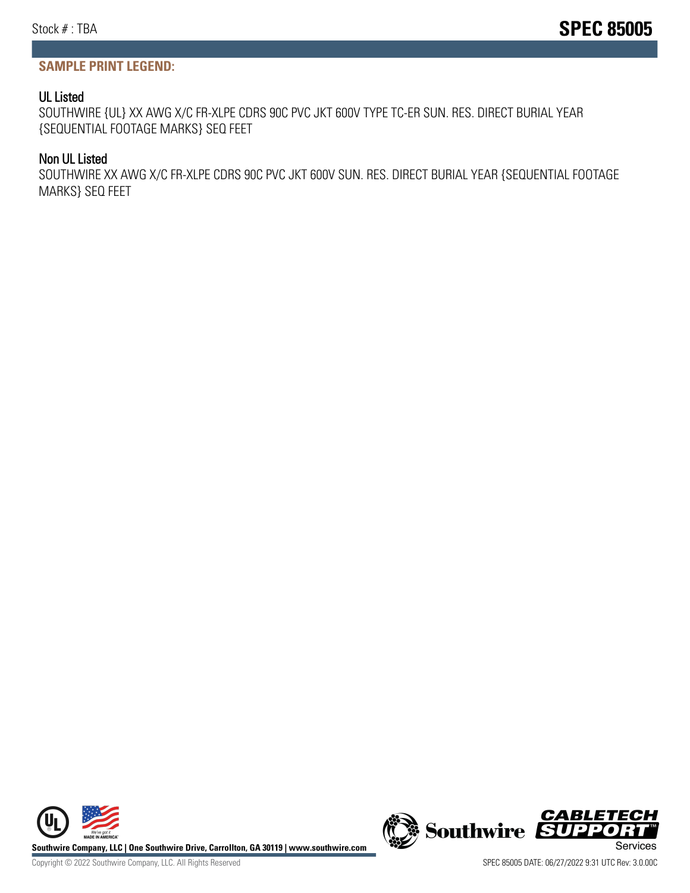#### **SAMPLE PRINT LEGEND:**

#### UL Listed

SOUTHWIRE {UL} XX AWG X/C FR-XLPE CDRS 90C PVC JKT 600V TYPE TC-ER SUN. RES. DIRECT BURIAL YEAR {SEQUENTIAL FOOTAGE MARKS} SEQ FEET

#### Non UL Listed

SOUTHWIRE XX AWG X/C FR-XLPE CDRS 90C PVC JKT 600V SUN. RES. DIRECT BURIAL YEAR {SEQUENTIAL FOOTAGE MARKS} SEQ FEET





Copyright © 2022 Southwire Company, LLC. All Rights Reserved SPEC 85005 DATE: 06/27/2022 9:31 UTC Rev: 3.0.00C